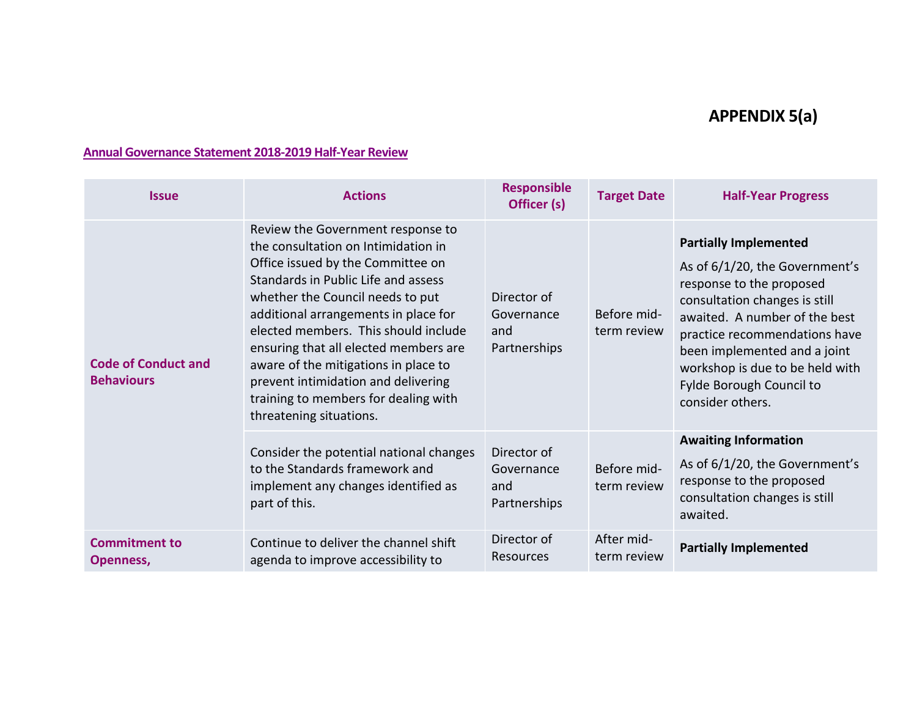## **APPENDIX 5(a)**

## **Annual Governance Statement 2018-2019 Half-Year Review**

| <b>Issue</b>                                    | <b>Actions</b>                                                                                                                                                                                                                                                                                                                                                                                                                                                      | <b>Responsible</b><br>Officer (s)                | <b>Target Date</b>         | <b>Half-Year Progress</b>                                                                                                                                                                                                                                                                                        |
|-------------------------------------------------|---------------------------------------------------------------------------------------------------------------------------------------------------------------------------------------------------------------------------------------------------------------------------------------------------------------------------------------------------------------------------------------------------------------------------------------------------------------------|--------------------------------------------------|----------------------------|------------------------------------------------------------------------------------------------------------------------------------------------------------------------------------------------------------------------------------------------------------------------------------------------------------------|
| <b>Code of Conduct and</b><br><b>Behaviours</b> | Review the Government response to<br>the consultation on Intimidation in<br>Office issued by the Committee on<br>Standards in Public Life and assess<br>whether the Council needs to put<br>additional arrangements in place for<br>elected members. This should include<br>ensuring that all elected members are<br>aware of the mitigations in place to<br>prevent intimidation and delivering<br>training to members for dealing with<br>threatening situations. | Director of<br>Governance<br>and<br>Partnerships | Before mid-<br>term review | <b>Partially Implemented</b><br>As of 6/1/20, the Government's<br>response to the proposed<br>consultation changes is still<br>awaited. A number of the best<br>practice recommendations have<br>been implemented and a joint<br>workshop is due to be held with<br>Fylde Borough Council to<br>consider others. |
|                                                 | Consider the potential national changes<br>to the Standards framework and<br>implement any changes identified as<br>part of this.                                                                                                                                                                                                                                                                                                                                   | Director of<br>Governance<br>and<br>Partnerships | Before mid-<br>term review | <b>Awaiting Information</b><br>As of 6/1/20, the Government's<br>response to the proposed<br>consultation changes is still<br>awaited.                                                                                                                                                                           |
| <b>Commitment to</b><br>Openness,               | Continue to deliver the channel shift<br>agenda to improve accessibility to                                                                                                                                                                                                                                                                                                                                                                                         | Director of<br>Resources                         | After mid-<br>term review  | <b>Partially Implemented</b>                                                                                                                                                                                                                                                                                     |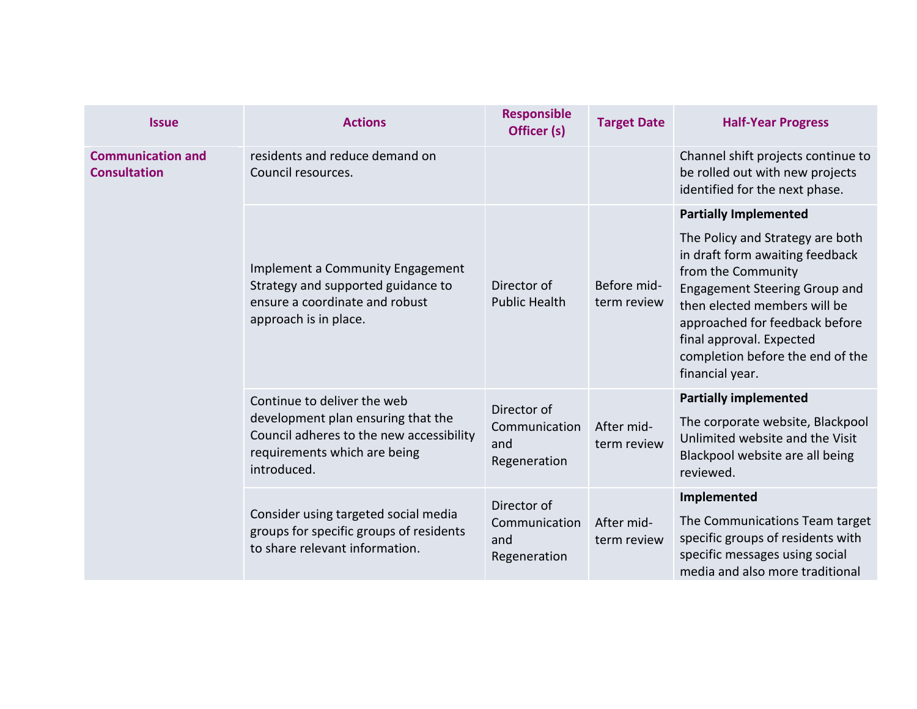| <b>Issue</b>                                    | <b>Actions</b>                                                                                                                    | <b>Responsible</b><br>Officer (s)    | <b>Target Date</b>         | <b>Half-Year Progress</b>                                                                                                                                                                                                                                                              |
|-------------------------------------------------|-----------------------------------------------------------------------------------------------------------------------------------|--------------------------------------|----------------------------|----------------------------------------------------------------------------------------------------------------------------------------------------------------------------------------------------------------------------------------------------------------------------------------|
| <b>Communication and</b><br><b>Consultation</b> | residents and reduce demand on<br>Council resources.                                                                              |                                      |                            | Channel shift projects continue to<br>be rolled out with new projects<br>identified for the next phase.                                                                                                                                                                                |
|                                                 |                                                                                                                                   |                                      |                            | <b>Partially Implemented</b>                                                                                                                                                                                                                                                           |
|                                                 | Implement a Community Engagement<br>Strategy and supported guidance to<br>ensure a coordinate and robust<br>approach is in place. | Director of<br><b>Public Health</b>  | Before mid-<br>term review | The Policy and Strategy are both<br>in draft form awaiting feedback<br>from the Community<br><b>Engagement Steering Group and</b><br>then elected members will be<br>approached for feedback before<br>final approval. Expected<br>completion before the end of the<br>financial year. |
|                                                 | Continue to deliver the web                                                                                                       | Director of                          |                            | <b>Partially implemented</b>                                                                                                                                                                                                                                                           |
|                                                 | development plan ensuring that the<br>Council adheres to the new accessibility<br>requirements which are being<br>introduced.     | Communication<br>and<br>Regeneration | After mid-<br>term review  | The corporate website, Blackpool<br>Unlimited website and the Visit<br>Blackpool website are all being<br>reviewed.                                                                                                                                                                    |
|                                                 |                                                                                                                                   | Director of                          |                            | Implemented                                                                                                                                                                                                                                                                            |
|                                                 | Consider using targeted social media<br>groups for specific groups of residents<br>to share relevant information.                 | Communication<br>and<br>Regeneration | After mid-<br>term review  | The Communications Team target<br>specific groups of residents with<br>specific messages using social<br>media and also more traditional                                                                                                                                               |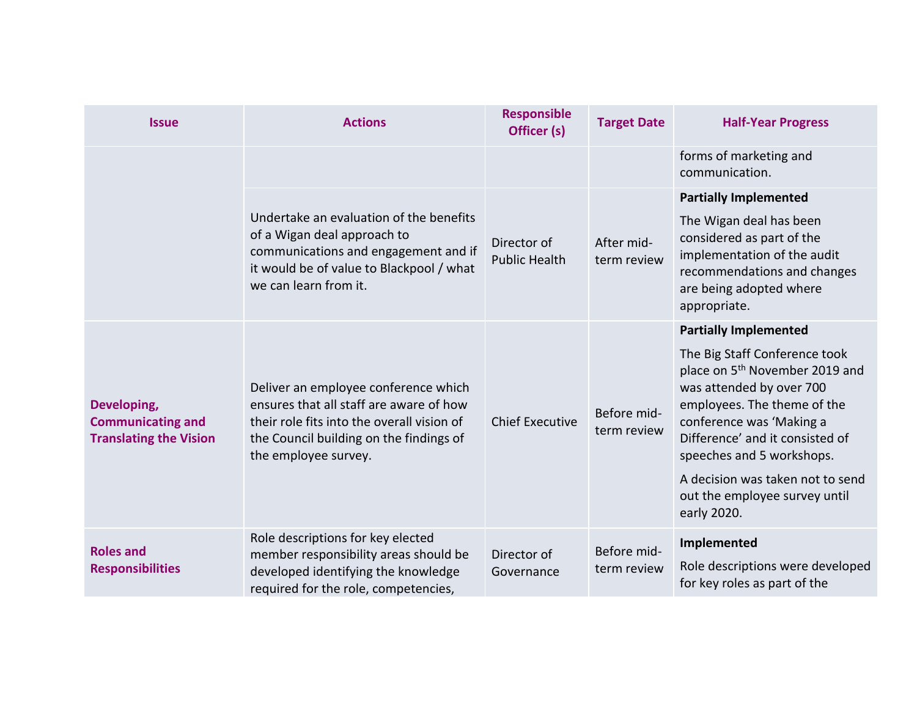| <b>Issue</b>                                                             | <b>Actions</b>                                                                                                                                                                                   | <b>Responsible</b><br>Officer (s)   | <b>Target Date</b>         | <b>Half-Year Progress</b>                                                                                                                                                                                                          |
|--------------------------------------------------------------------------|--------------------------------------------------------------------------------------------------------------------------------------------------------------------------------------------------|-------------------------------------|----------------------------|------------------------------------------------------------------------------------------------------------------------------------------------------------------------------------------------------------------------------------|
|                                                                          |                                                                                                                                                                                                  |                                     |                            | forms of marketing and<br>communication.                                                                                                                                                                                           |
|                                                                          |                                                                                                                                                                                                  |                                     |                            | <b>Partially Implemented</b>                                                                                                                                                                                                       |
|                                                                          | Undertake an evaluation of the benefits<br>of a Wigan deal approach to<br>communications and engagement and if<br>it would be of value to Blackpool / what<br>we can learn from it.              | Director of<br><b>Public Health</b> | After mid-<br>term review  | The Wigan deal has been<br>considered as part of the<br>implementation of the audit<br>recommendations and changes<br>are being adopted where<br>appropriate.                                                                      |
|                                                                          |                                                                                                                                                                                                  |                                     |                            | <b>Partially Implemented</b>                                                                                                                                                                                                       |
| Developing,<br><b>Communicating and</b><br><b>Translating the Vision</b> | Deliver an employee conference which<br>ensures that all staff are aware of how<br>their role fits into the overall vision of<br>the Council building on the findings of<br>the employee survey. | <b>Chief Executive</b>              | Before mid-<br>term review | The Big Staff Conference took<br>place on 5 <sup>th</sup> November 2019 and<br>was attended by over 700<br>employees. The theme of the<br>conference was 'Making a<br>Difference' and it consisted of<br>speeches and 5 workshops. |
|                                                                          |                                                                                                                                                                                                  |                                     |                            | A decision was taken not to send<br>out the employee survey until<br>early 2020.                                                                                                                                                   |
| <b>Roles and</b><br><b>Responsibilities</b>                              | Role descriptions for key elected<br>member responsibility areas should be<br>developed identifying the knowledge<br>required for the role, competencies,                                        | Director of<br>Governance           | Before mid-<br>term review | Implemented<br>Role descriptions were developed<br>for key roles as part of the                                                                                                                                                    |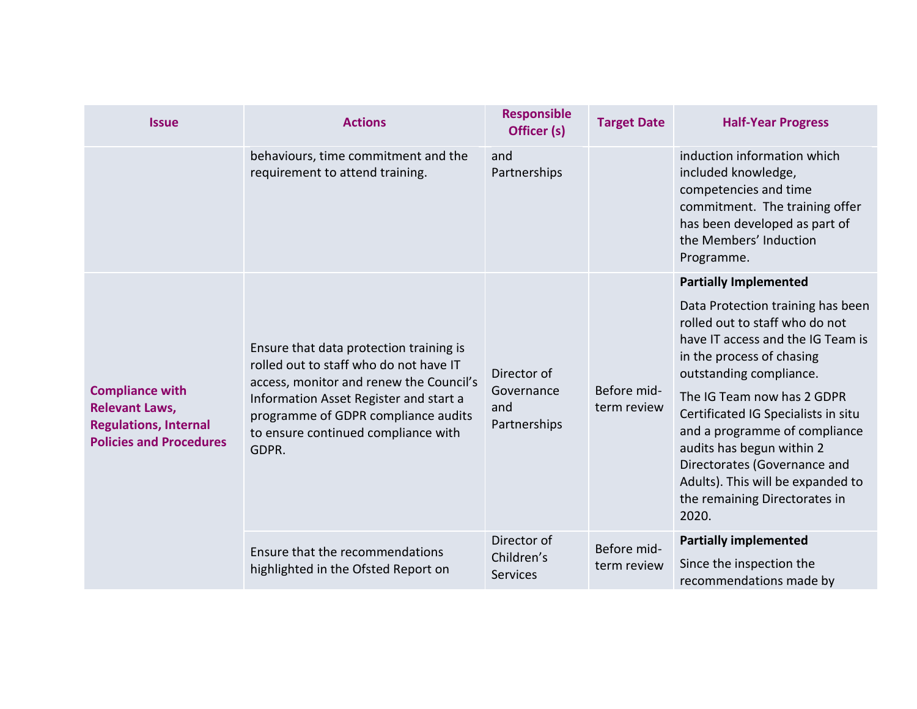| <b>Issue</b>                                                                                                      | <b>Actions</b>                                                                                                                                                                                                                                                | <b>Responsible</b><br>Officer (s)                | <b>Target Date</b>         | <b>Half-Year Progress</b>                                                                                                                                                                                                                                                                                                                                                                                          |
|-------------------------------------------------------------------------------------------------------------------|---------------------------------------------------------------------------------------------------------------------------------------------------------------------------------------------------------------------------------------------------------------|--------------------------------------------------|----------------------------|--------------------------------------------------------------------------------------------------------------------------------------------------------------------------------------------------------------------------------------------------------------------------------------------------------------------------------------------------------------------------------------------------------------------|
|                                                                                                                   | behaviours, time commitment and the<br>requirement to attend training.                                                                                                                                                                                        | and<br>Partnerships                              |                            | induction information which<br>included knowledge,<br>competencies and time<br>commitment. The training offer<br>has been developed as part of<br>the Members' Induction<br>Programme.                                                                                                                                                                                                                             |
|                                                                                                                   |                                                                                                                                                                                                                                                               |                                                  |                            | <b>Partially Implemented</b>                                                                                                                                                                                                                                                                                                                                                                                       |
| <b>Compliance with</b><br><b>Relevant Laws,</b><br><b>Regulations, Internal</b><br><b>Policies and Procedures</b> | Ensure that data protection training is<br>rolled out to staff who do not have IT<br>access, monitor and renew the Council's<br>Information Asset Register and start a<br>programme of GDPR compliance audits<br>to ensure continued compliance with<br>GDPR. | Director of<br>Governance<br>and<br>Partnerships | Before mid-<br>term review | Data Protection training has been<br>rolled out to staff who do not<br>have IT access and the IG Team is<br>in the process of chasing<br>outstanding compliance.<br>The IG Team now has 2 GDPR<br>Certificated IG Specialists in situ<br>and a programme of compliance<br>audits has begun within 2<br>Directorates (Governance and<br>Adults). This will be expanded to<br>the remaining Directorates in<br>2020. |
|                                                                                                                   | Ensure that the recommendations<br>highlighted in the Ofsted Report on                                                                                                                                                                                        | Director of<br>Children's<br><b>Services</b>     | Before mid-<br>term review | <b>Partially implemented</b><br>Since the inspection the<br>recommendations made by                                                                                                                                                                                                                                                                                                                                |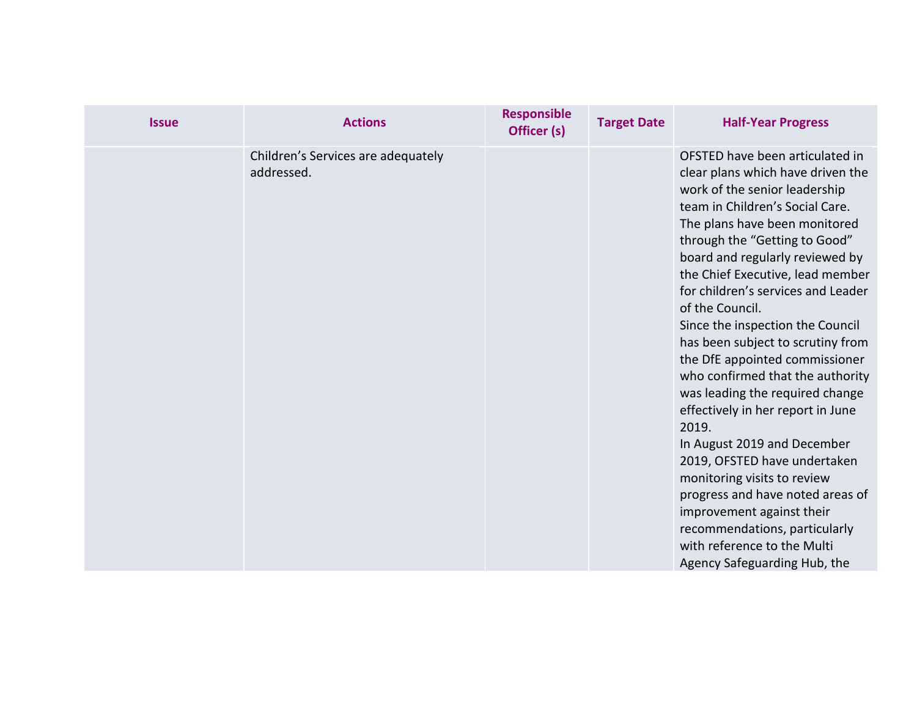| <b>Issue</b> | <b>Actions</b>                                   | <b>Responsible</b><br>Officer (s) | <b>Target Date</b> | <b>Half-Year Progress</b>                                                                                                                                                                                                                                                                                                                                                                                                                                                                                                                                                                                                                                                                                                                                                                                                                 |
|--------------|--------------------------------------------------|-----------------------------------|--------------------|-------------------------------------------------------------------------------------------------------------------------------------------------------------------------------------------------------------------------------------------------------------------------------------------------------------------------------------------------------------------------------------------------------------------------------------------------------------------------------------------------------------------------------------------------------------------------------------------------------------------------------------------------------------------------------------------------------------------------------------------------------------------------------------------------------------------------------------------|
|              | Children's Services are adequately<br>addressed. |                                   |                    | OFSTED have been articulated in<br>clear plans which have driven the<br>work of the senior leadership<br>team in Children's Social Care.<br>The plans have been monitored<br>through the "Getting to Good"<br>board and regularly reviewed by<br>the Chief Executive, lead member<br>for children's services and Leader<br>of the Council.<br>Since the inspection the Council<br>has been subject to scrutiny from<br>the DfE appointed commissioner<br>who confirmed that the authority<br>was leading the required change<br>effectively in her report in June<br>2019.<br>In August 2019 and December<br>2019, OFSTED have undertaken<br>monitoring visits to review<br>progress and have noted areas of<br>improvement against their<br>recommendations, particularly<br>with reference to the Multi<br>Agency Safeguarding Hub, the |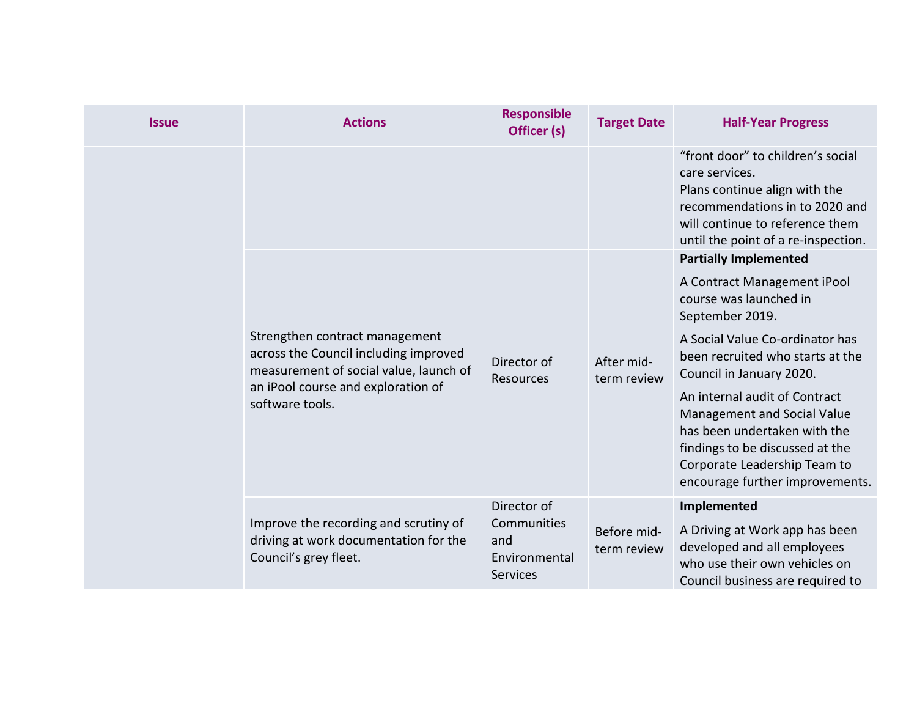| <b>Issue</b> | <b>Actions</b>                                                                                                    | <b>Responsible</b><br>Officer (s)                      | <b>Target Date</b>         | <b>Half-Year Progress</b>                                                                                                                                                                          |
|--------------|-------------------------------------------------------------------------------------------------------------------|--------------------------------------------------------|----------------------------|----------------------------------------------------------------------------------------------------------------------------------------------------------------------------------------------------|
|              |                                                                                                                   |                                                        |                            | "front door" to children's social<br>care services.<br>Plans continue align with the<br>recommendations in to 2020 and<br>will continue to reference them<br>until the point of a re-inspection.   |
|              |                                                                                                                   |                                                        |                            | <b>Partially Implemented</b>                                                                                                                                                                       |
|              |                                                                                                                   | Director of<br><b>Resources</b>                        | After mid-<br>term review  | A Contract Management iPool<br>course was launched in<br>September 2019.                                                                                                                           |
|              | Strengthen contract management<br>across the Council including improved<br>measurement of social value, launch of |                                                        |                            | A Social Value Co-ordinator has<br>been recruited who starts at the<br>Council in January 2020.                                                                                                    |
|              | an iPool course and exploration of<br>software tools.                                                             |                                                        |                            | An internal audit of Contract<br>Management and Social Value<br>has been undertaken with the<br>findings to be discussed at the<br>Corporate Leadership Team to<br>encourage further improvements. |
|              |                                                                                                                   | Director of                                            |                            | Implemented                                                                                                                                                                                        |
|              | Improve the recording and scrutiny of<br>driving at work documentation for the<br>Council's grey fleet.           | Communities<br>and<br>Environmental<br><b>Services</b> | Before mid-<br>term review | A Driving at Work app has been<br>developed and all employees<br>who use their own vehicles on<br>Council business are required to                                                                 |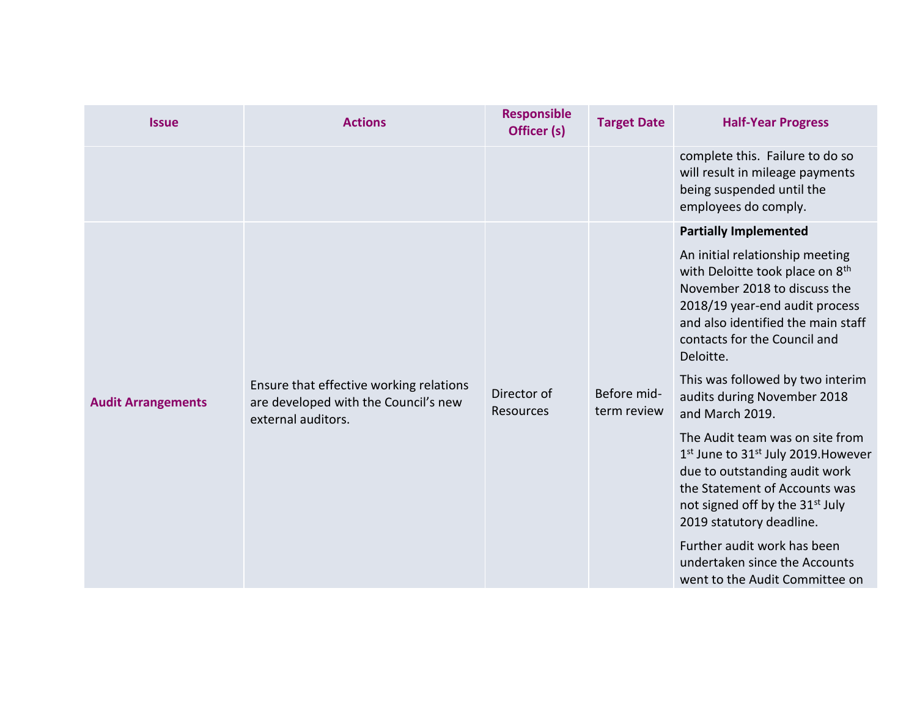| <b>Issue</b>              | <b>Actions</b>                                                                  | <b>Responsible</b><br>Officer (s) | <b>Target Date</b> | <b>Half-Year Progress</b>                                                                                                                                                                                                                                                                                                                                        |
|---------------------------|---------------------------------------------------------------------------------|-----------------------------------|--------------------|------------------------------------------------------------------------------------------------------------------------------------------------------------------------------------------------------------------------------------------------------------------------------------------------------------------------------------------------------------------|
|                           |                                                                                 |                                   |                    | complete this. Failure to do so<br>will result in mileage payments<br>being suspended until the<br>employees do comply.                                                                                                                                                                                                                                          |
| <b>Audit Arrangements</b> | Ensure that effective working relations<br>are developed with the Council's new | Director of                       | Before mid-        | <b>Partially Implemented</b><br>An initial relationship meeting<br>with Deloitte took place on 8th<br>November 2018 to discuss the<br>2018/19 year-end audit process<br>and also identified the main staff<br>contacts for the Council and<br>Deloitte.<br>This was followed by two interim<br>audits during November 2018                                       |
|                           | external auditors.                                                              | Resources                         | term review        | and March 2019.<br>The Audit team was on site from<br>1 <sup>st</sup> June to 31 <sup>st</sup> July 2019. However<br>due to outstanding audit work<br>the Statement of Accounts was<br>not signed off by the 31 <sup>st</sup> July<br>2019 statutory deadline.<br>Further audit work has been<br>undertaken since the Accounts<br>went to the Audit Committee on |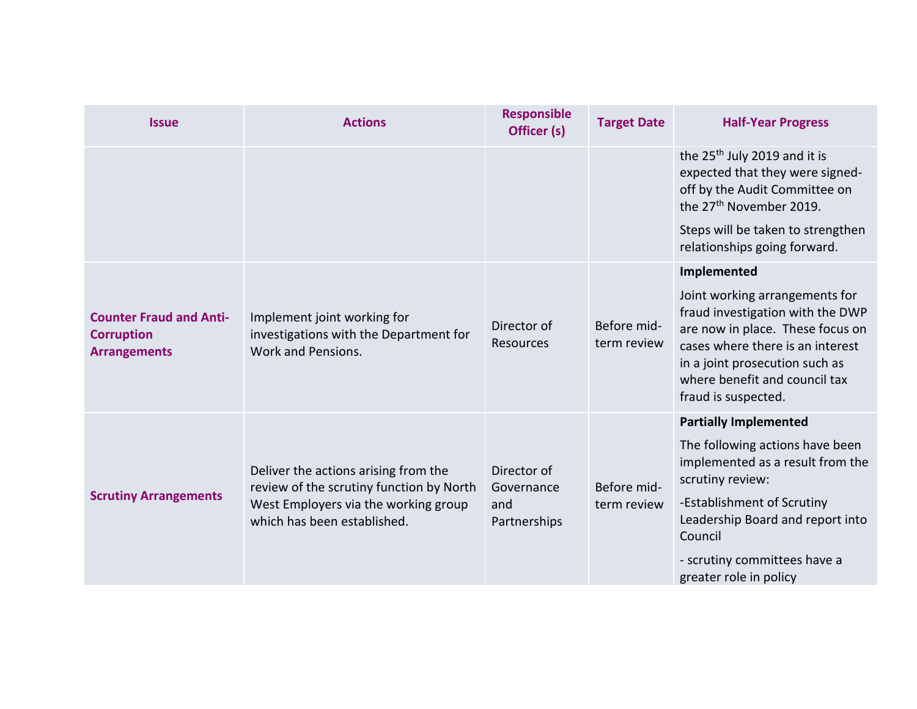| <b>Issue</b>                                                               | <b>Actions</b>                                                                                                                                          | <b>Responsible</b><br>Officer (s)                | <b>Target Date</b>         | <b>Half-Year Progress</b>                                                                                                                                                                                                            |
|----------------------------------------------------------------------------|---------------------------------------------------------------------------------------------------------------------------------------------------------|--------------------------------------------------|----------------------------|--------------------------------------------------------------------------------------------------------------------------------------------------------------------------------------------------------------------------------------|
|                                                                            |                                                                                                                                                         |                                                  |                            | the 25 <sup>th</sup> July 2019 and it is<br>expected that they were signed-<br>off by the Audit Committee on<br>the 27 <sup>th</sup> November 2019.                                                                                  |
|                                                                            |                                                                                                                                                         |                                                  |                            | Steps will be taken to strengthen<br>relationships going forward.                                                                                                                                                                    |
|                                                                            |                                                                                                                                                         |                                                  |                            | Implemented                                                                                                                                                                                                                          |
| <b>Counter Fraud and Anti-</b><br><b>Corruption</b><br><b>Arrangements</b> | Implement joint working for<br>investigations with the Department for<br>Work and Pensions.                                                             | Director of<br><b>Resources</b>                  | Before mid-<br>term review | Joint working arrangements for<br>fraud investigation with the DWP<br>are now in place. These focus on<br>cases where there is an interest<br>in a joint prosecution such as<br>where benefit and council tax<br>fraud is suspected. |
|                                                                            |                                                                                                                                                         |                                                  |                            | <b>Partially Implemented</b>                                                                                                                                                                                                         |
| <b>Scrutiny Arrangements</b>                                               | Deliver the actions arising from the<br>review of the scrutiny function by North<br>West Employers via the working group<br>which has been established. | Director of<br>Governance<br>and<br>Partnerships | Before mid-<br>term review | The following actions have been<br>implemented as a result from the<br>scrutiny review:                                                                                                                                              |
|                                                                            |                                                                                                                                                         |                                                  |                            | -Establishment of Scrutiny<br>Leadership Board and report into<br>Council                                                                                                                                                            |
|                                                                            |                                                                                                                                                         |                                                  |                            | - scrutiny committees have a<br>greater role in policy                                                                                                                                                                               |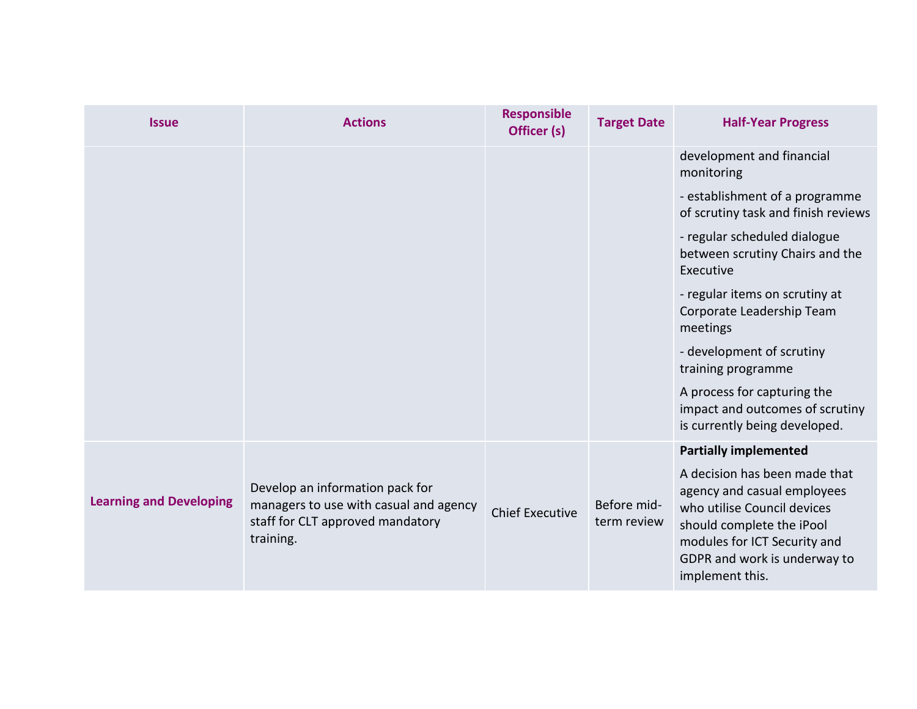| <b>Issue</b>                   | <b>Actions</b>                                                                                                             | <b>Responsible</b><br>Officer (s) | <b>Target Date</b>         | <b>Half-Year Progress</b>                                                                                                                                                                                   |
|--------------------------------|----------------------------------------------------------------------------------------------------------------------------|-----------------------------------|----------------------------|-------------------------------------------------------------------------------------------------------------------------------------------------------------------------------------------------------------|
|                                |                                                                                                                            |                                   |                            | development and financial<br>monitoring                                                                                                                                                                     |
|                                |                                                                                                                            |                                   |                            | - establishment of a programme<br>of scrutiny task and finish reviews                                                                                                                                       |
|                                |                                                                                                                            |                                   |                            | - regular scheduled dialogue<br>between scrutiny Chairs and the<br>Executive                                                                                                                                |
|                                |                                                                                                                            |                                   |                            | - regular items on scrutiny at<br>Corporate Leadership Team<br>meetings                                                                                                                                     |
|                                |                                                                                                                            |                                   |                            | - development of scrutiny<br>training programme                                                                                                                                                             |
|                                |                                                                                                                            |                                   |                            | A process for capturing the<br>impact and outcomes of scrutiny<br>is currently being developed.                                                                                                             |
|                                |                                                                                                                            |                                   |                            | <b>Partially implemented</b>                                                                                                                                                                                |
| <b>Learning and Developing</b> | Develop an information pack for<br>managers to use with casual and agency<br>staff for CLT approved mandatory<br>training. | <b>Chief Executive</b>            | Before mid-<br>term review | A decision has been made that<br>agency and casual employees<br>who utilise Council devices<br>should complete the iPool<br>modules for ICT Security and<br>GDPR and work is underway to<br>implement this. |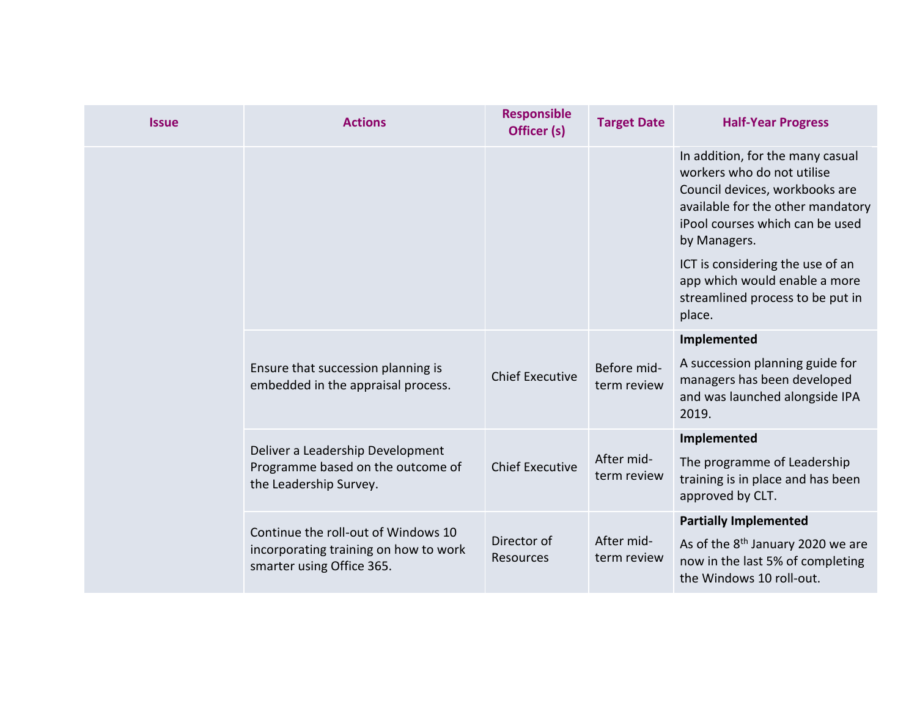| <b>Issue</b> | <b>Actions</b>                                                           | <b>Responsible</b><br>Officer (s) | <b>Target Date</b>         | <b>Half-Year Progress</b>                                                                                                                                                                |
|--------------|--------------------------------------------------------------------------|-----------------------------------|----------------------------|------------------------------------------------------------------------------------------------------------------------------------------------------------------------------------------|
|              |                                                                          |                                   |                            | In addition, for the many casual<br>workers who do not utilise<br>Council devices, workbooks are<br>available for the other mandatory<br>iPool courses which can be used<br>by Managers. |
|              |                                                                          |                                   |                            | ICT is considering the use of an<br>app which would enable a more<br>streamlined process to be put in<br>place.                                                                          |
|              |                                                                          |                                   |                            | Implemented                                                                                                                                                                              |
|              | Ensure that succession planning is<br>embedded in the appraisal process. | <b>Chief Executive</b>            | Before mid-<br>term review | A succession planning guide for<br>managers has been developed<br>and was launched alongside IPA<br>2019.                                                                                |
|              | Deliver a Leadership Development                                         |                                   |                            | Implemented                                                                                                                                                                              |
|              | Programme based on the outcome of<br>the Leadership Survey.              | <b>Chief Executive</b>            | After mid-<br>term review  | The programme of Leadership<br>training is in place and has been<br>approved by CLT.                                                                                                     |
|              | Continue the roll-out of Windows 10                                      |                                   |                            | <b>Partially Implemented</b>                                                                                                                                                             |
|              | incorporating training on how to work<br>smarter using Office 365.       | Director of<br>Resources          | After mid-<br>term review  | As of the 8 <sup>th</sup> January 2020 we are<br>now in the last 5% of completing<br>the Windows 10 roll-out.                                                                            |